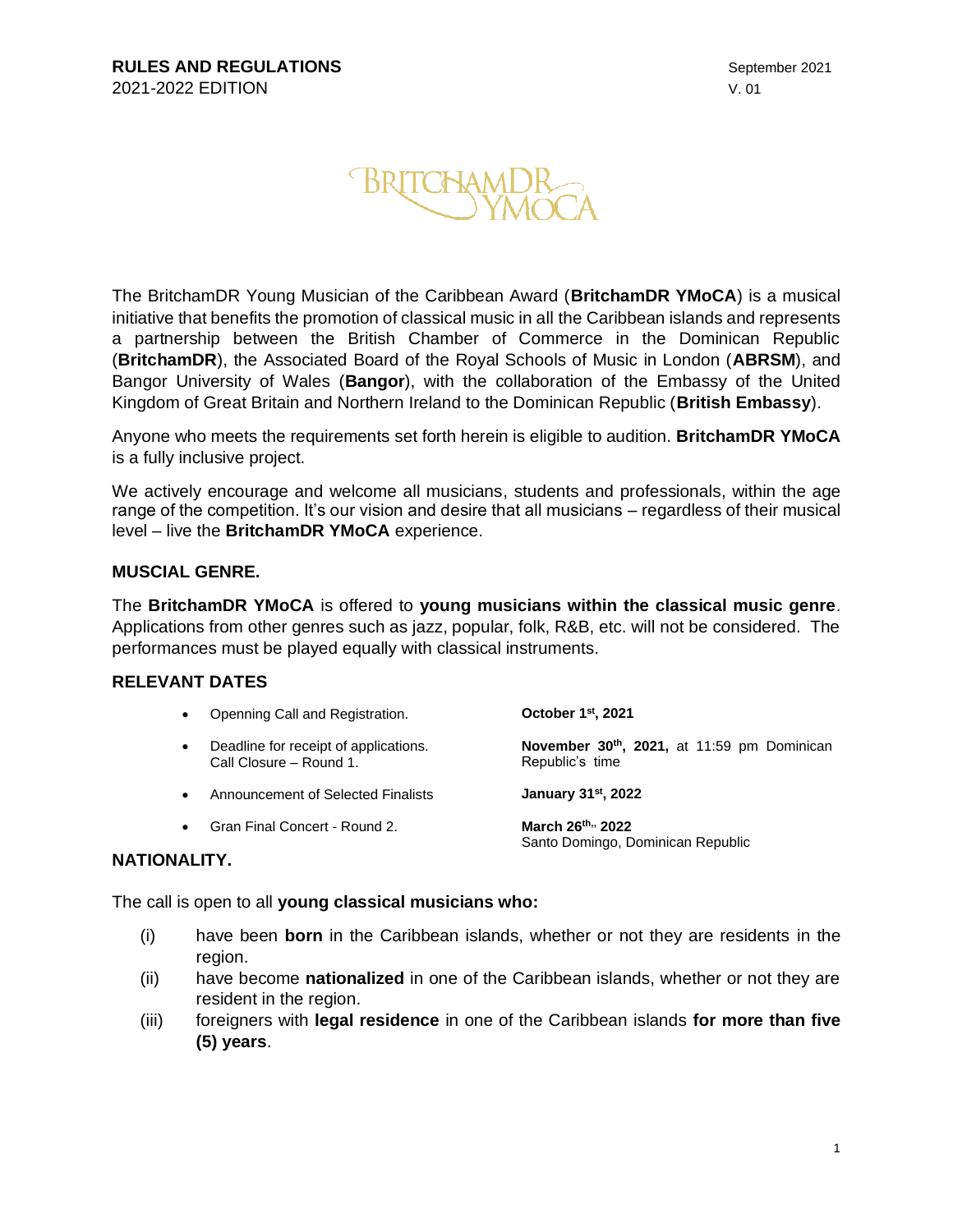

The BritchamDR Young Musician of the Caribbean Award (**BritchamDR YMoCA**) is a musical initiative that benefits the promotion of classical music in all the Caribbean islands and represents a partnership between the British Chamber of Commerce in the Dominican Republic (**BritchamDR**), the Associated Board of the Royal Schools of Music in London (**ABRSM**), and Bangor University of Wales (**Bangor**), with the collaboration of the Embassy of the United Kingdom of Great Britain and Northern Ireland to the Dominican Republic (**British Embassy**).

Anyone who meets the requirements set forth herein is eligible to audition. **BritchamDR YMoCA** is a fully inclusive project.

We actively encourage and welcome all musicians, students and professionals, within the age range of the competition. It's our vision and desire that all musicians – regardless of their musical level – live the **BritchamDR YMoCA** experience.

#### **MUSCIAL GENRE.**

The **BritchamDR YMoCA** is offered to **young musicians within the classical music genre**. Applications from other genres such as jazz, popular, folk, R&B, etc. will not be considered. The performances must be played equally with classical instruments.

#### **RELEVANT DATES**

| $\bullet$ | Openning Call and Registration.                                  | October 1 <sup>st</sup> , 2021                                |
|-----------|------------------------------------------------------------------|---------------------------------------------------------------|
|           | Deadline for receipt of applications.<br>Call Closure – Round 1. | November 30th, 2021, at 11:59 pm Dominican<br>Republic's time |

- **Announcement of Selected Finalists , 2022**
- Gran Final Concert Round 2. **March 26th,, 2022**

Santo Domingo, Dominican Republic

#### **NATIONALITY.**

The call is open to all **young classical musicians who:**

- (i) have been **born** in the Caribbean islands, whether or not they are residents in the region.
- (ii) have become **nationalized** in one of the Caribbean islands, whether or not they are resident in the region.
- (iii) foreigners with **legal residence** in one of the Caribbean islands **for more than five (5) years**.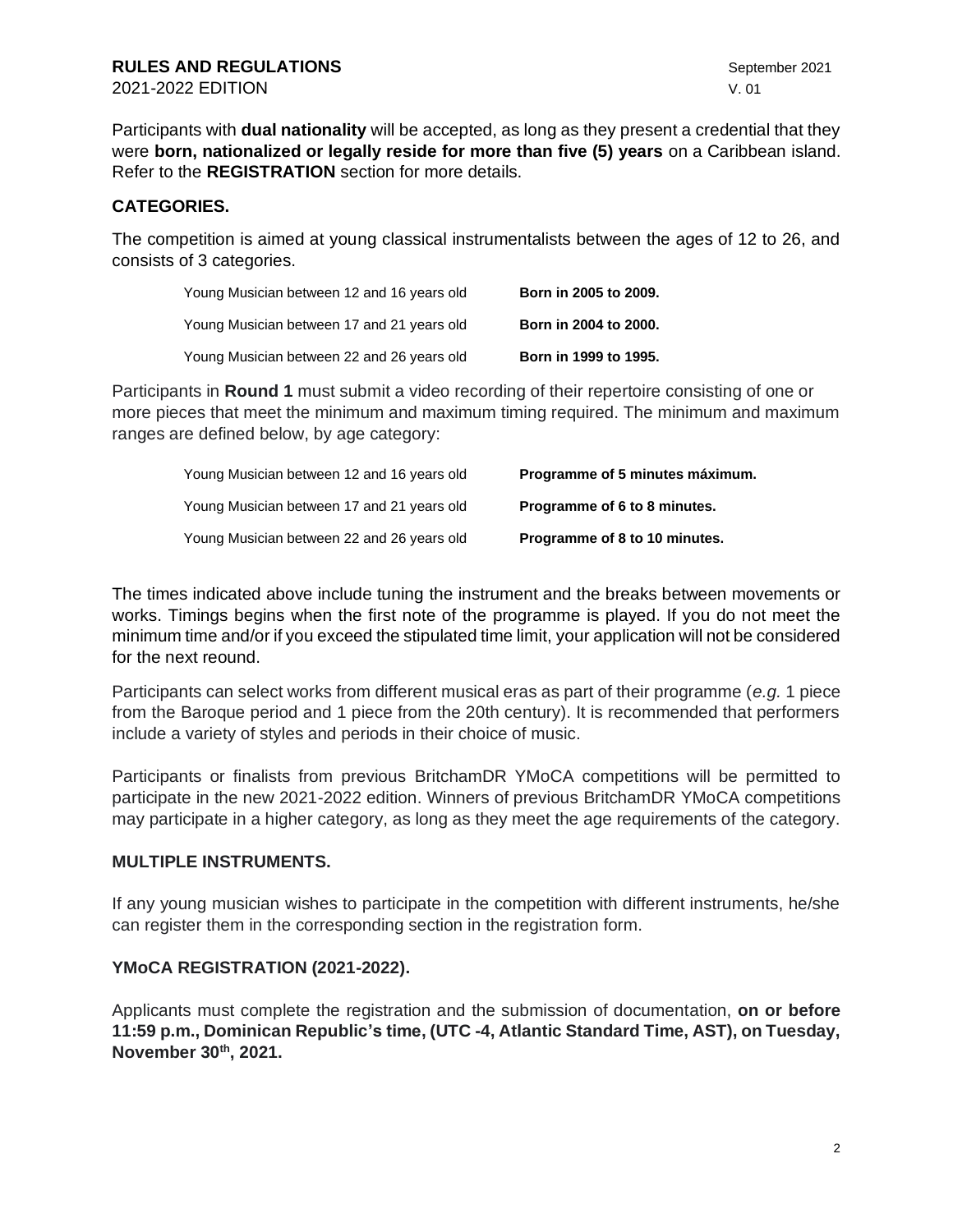Participants with **dual nationality** will be accepted, as long as they present a credential that they were **born, nationalized or legally reside for more than five (5) years** on a Caribbean island. Refer to the **REGISTRATION** section for more details.

### **CATEGORIES.**

The competition is aimed at young classical instrumentalists between the ages of 12 to 26, and consists of 3 categories.

| Young Musician between 12 and 16 years old | Born in 2005 to 2009. |
|--------------------------------------------|-----------------------|
| Young Musician between 17 and 21 years old | Born in 2004 to 2000. |
| Young Musician between 22 and 26 years old | Born in 1999 to 1995. |

Participants in **Round 1** must submit a video recording of their repertoire consisting of one or more pieces that meet the minimum and maximum timing required. The minimum and maximum ranges are defined below, by age category:

| Young Musician between 12 and 16 years old | Programme of 5 minutes máximum. |
|--------------------------------------------|---------------------------------|
| Young Musician between 17 and 21 years old | Programme of 6 to 8 minutes.    |
| Young Musician between 22 and 26 years old | Programme of 8 to 10 minutes.   |

The times indicated above include tuning the instrument and the breaks between movements or works. Timings begins when the first note of the programme is played. If you do not meet the minimum time and/or if you exceed the stipulated time limit, your application will not be considered for the next reound.

Participants can select works from different musical eras as part of their programme (*e.g.* 1 piece from the Baroque period and 1 piece from the 20th century). It is recommended that performers include a variety of styles and periods in their choice of music.

Participants or finalists from previous BritchamDR YMoCA competitions will be permitted to participate in the new 2021-2022 edition. Winners of previous BritchamDR YMoCA competitions may participate in a higher category, as long as they meet the age requirements of the category.

#### **MULTIPLE INSTRUMENTS.**

If any young musician wishes to participate in the competition with different instruments, he/she can register them in the corresponding section in the registration form.

## **YMoCA REGISTRATION (2021-2022).**

Applicants must complete the registration and the submission of documentation, **on or before 11:59 p.m., Dominican Republic's time, (UTC -4, Atlantic Standard Time, AST), on Tuesday, November 30th, 2021.**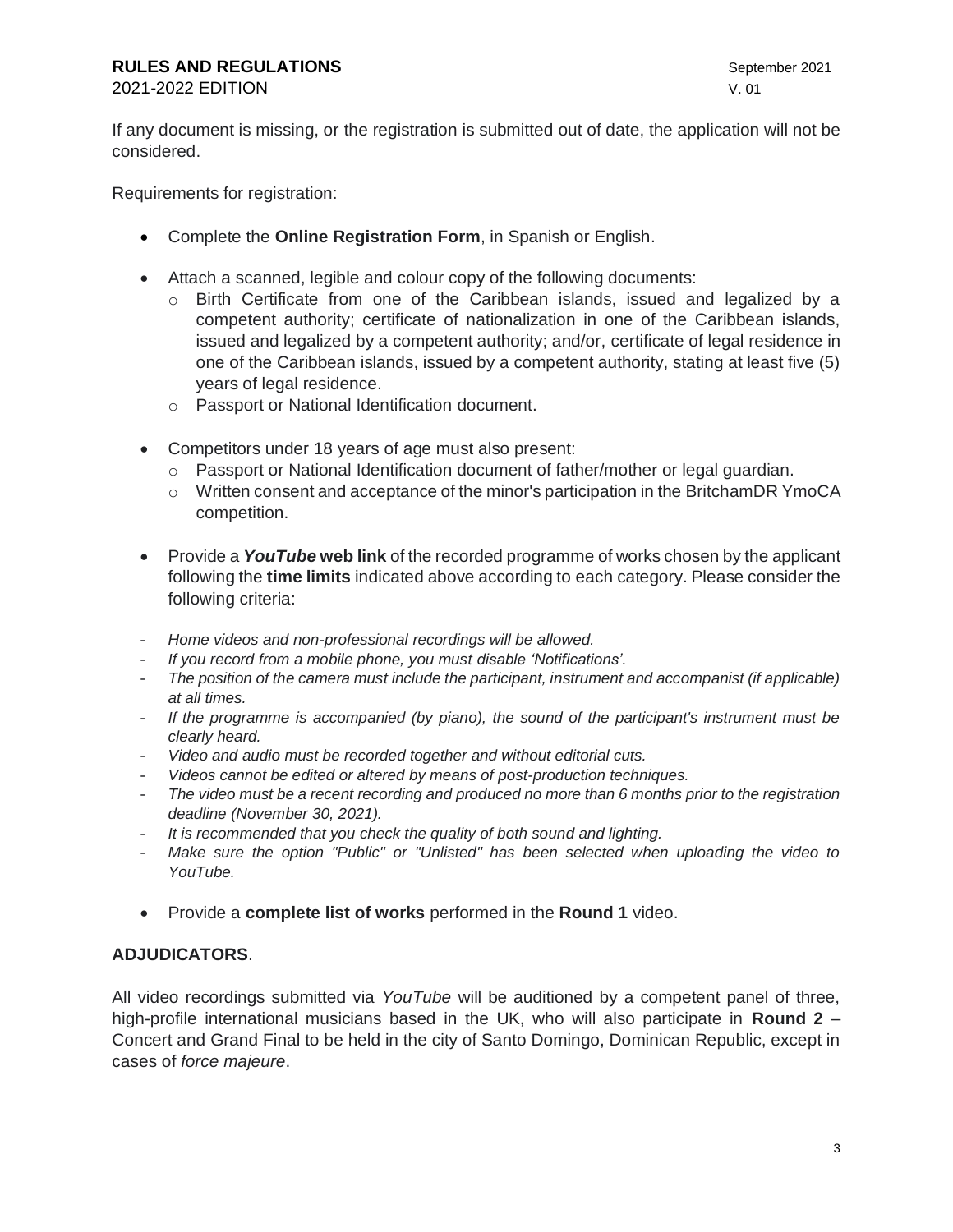# **RULES AND REGULATIONS September 2021**

2021-2022 EDITION V. 01

If any document is missing, or the registration is submitted out of date, the application will not be considered.

Requirements for registration:

- Complete the **Online Registration Form**, in Spanish or English.
- Attach a scanned, legible and colour copy of the following documents:
	- o Birth Certificate from one of the Caribbean islands, issued and legalized by a competent authority; certificate of nationalization in one of the Caribbean islands, issued and legalized by a competent authority; and/or, certificate of legal residence in one of the Caribbean islands, issued by a competent authority, stating at least five (5) years of legal residence.
	- o Passport or National Identification document.
- Competitors under 18 years of age must also present:
	- $\circ$  Passport or National Identification document of father/mother or legal guardian.
	- $\circ$  Written consent and acceptance of the minor's participation in the BritchamDR YmoCA competition.
- Provide a *YouTube* **web link** of the recorded programme of works chosen by the applicant following the **time limits** indicated above according to each category. Please consider the following criteria:
- *Home videos and non-professional recordings will be allowed.*
- *If you record from a mobile phone, you must disable 'Notifications'.*
- *The position of the camera must include the participant, instrument and accompanist (if applicable) at all times.*
- *If the programme is accompanied (by piano), the sound of the participant's instrument must be clearly heard.*
- *Video and audio must be recorded together and without editorial cuts.*
- *Videos cannot be edited or altered by means of post-production techniques.*
- *The video must be a recent recording and produced no more than 6 months prior to the registration deadline (November 30, 2021).*
- *It is recommended that you check the quality of both sound and lighting.*
- *Make sure the option "Public" or "Unlisted" has been selected when uploading the video to YouTube.*
- Provide a **complete list of works** performed in the **Round 1** video.

## **ADJUDICATORS**.

All video recordings submitted via *YouTube* will be auditioned by a competent panel of three, high-profile international musicians based in the UK, who will also participate in **Round 2** – Concert and Grand Final to be held in the city of Santo Domingo, Dominican Republic, except in cases of *force majeure*.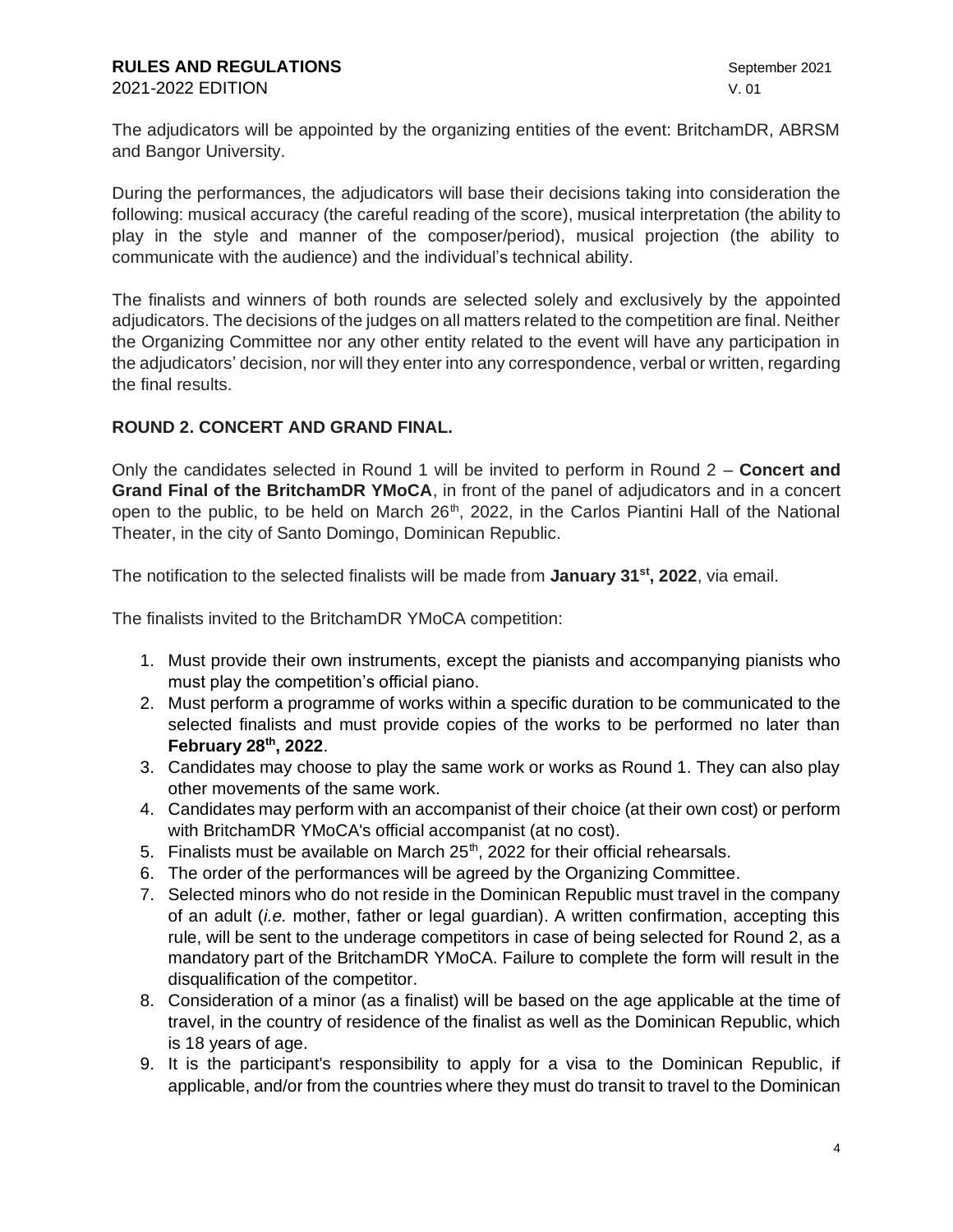The adjudicators will be appointed by the organizing entities of the event: BritchamDR, ABRSM and Bangor University.

During the performances, the adjudicators will base their decisions taking into consideration the following: musical accuracy (the careful reading of the score), musical interpretation (the ability to play in the style and manner of the composer/period), musical projection (the ability to communicate with the audience) and the individual's technical ability.

The finalists and winners of both rounds are selected solely and exclusively by the appointed adjudicators. The decisions of the judges on all matters related to the competition are final. Neither the Organizing Committee nor any other entity related to the event will have any participation in the adjudicators' decision, nor will they enter into any correspondence, verbal or written, regarding the final results.

## **ROUND 2. CONCERT AND GRAND FINAL.**

Only the candidates selected in Round 1 will be invited to perform in Round 2 – **Concert and Grand Final of the BritchamDR YMoCA**, in front of the panel of adjudicators and in a concert open to the public, to be held on March  $26<sup>th</sup>$ , 2022, in the Carlos Piantini Hall of the National Theater, in the city of Santo Domingo, Dominican Republic.

The notification to the selected finalists will be made from **January 31st, 2022**, via email.

The finalists invited to the BritchamDR YMoCA competition:

- 1. Must provide their own instruments, except the pianists and accompanying pianists who must play the competition's official piano.
- 2. Must perform a programme of works within a specific duration to be communicated to the selected finalists and must provide copies of the works to be performed no later than **February 28th, 2022**.
- 3. Candidates may choose to play the same work or works as Round 1. They can also play other movements of the same work.
- 4. Candidates may perform with an accompanist of their choice (at their own cost) or perform with BritchamDR YMoCA's official accompanist (at no cost).
- 5. Finalists must be available on March  $25<sup>th</sup>$ , 2022 for their official rehearsals.
- 6. The order of the performances will be agreed by the Organizing Committee.
- 7. Selected minors who do not reside in the Dominican Republic must travel in the company of an adult (*i.e.* mother, father or legal guardian). A written confirmation, accepting this rule, will be sent to the underage competitors in case of being selected for Round 2, as a mandatory part of the BritchamDR YMoCA. Failure to complete the form will result in the disqualification of the competitor.
- 8. Consideration of a minor (as a finalist) will be based on the age applicable at the time of travel, in the country of residence of the finalist as well as the Dominican Republic, which is 18 years of age.
- 9. It is the participant's responsibility to apply for a visa to the Dominican Republic, if applicable, and/or from the countries where they must do transit to travel to the Dominican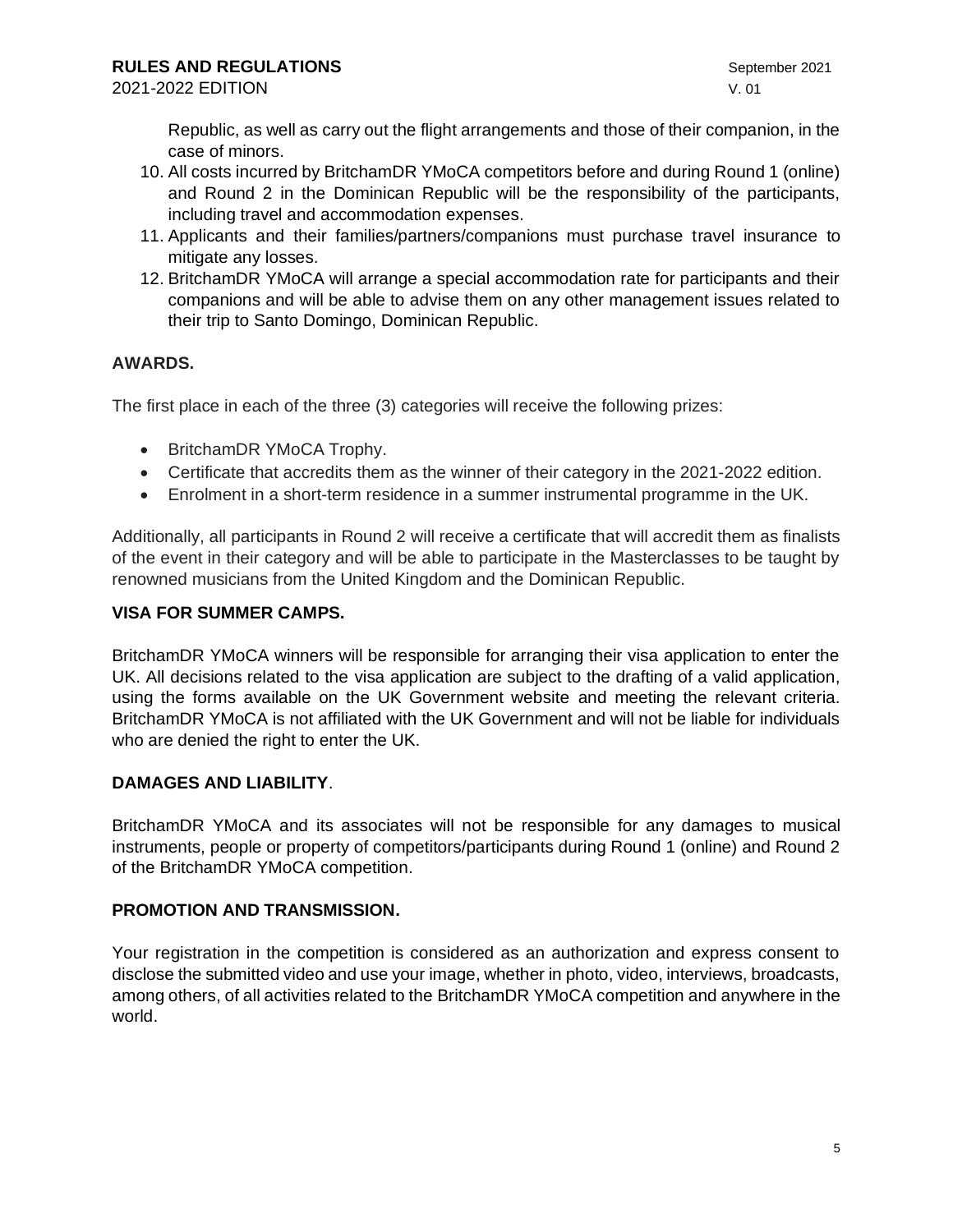Republic, as well as carry out the flight arrangements and those of their companion, in the case of minors.

- 10. All costs incurred by BritchamDR YMoCA competitors before and during Round 1 (online) and Round 2 in the Dominican Republic will be the responsibility of the participants, including travel and accommodation expenses.
- 11. Applicants and their families/partners/companions must purchase travel insurance to mitigate any losses.
- 12. BritchamDR YMoCA will arrange a special accommodation rate for participants and their companions and will be able to advise them on any other management issues related to their trip to Santo Domingo, Dominican Republic.

## **AWARDS.**

The first place in each of the three (3) categories will receive the following prizes:

- BritchamDR YMoCA Trophy.
- Certificate that accredits them as the winner of their category in the 2021-2022 edition.
- Enrolment in a short-term residence in a summer instrumental programme in the UK.

Additionally, all participants in Round 2 will receive a certificate that will accredit them as finalists of the event in their category and will be able to participate in the Masterclasses to be taught by renowned musicians from the United Kingdom and the Dominican Republic.

## **VISA FOR SUMMER CAMPS.**

BritchamDR YMoCA winners will be responsible for arranging their visa application to enter the UK. All decisions related to the visa application are subject to the drafting of a valid application, using the forms available on the UK Government website and meeting the relevant criteria. BritchamDR YMoCA is not affiliated with the UK Government and will not be liable for individuals who are denied the right to enter the UK.

## **DAMAGES AND LIABILITY**.

BritchamDR YMoCA and its associates will not be responsible for any damages to musical instruments, people or property of competitors/participants during Round 1 (online) and Round 2 of the BritchamDR YMoCA competition.

## **PROMOTION AND TRANSMISSION.**

Your registration in the competition is considered as an authorization and express consent to disclose the submitted video and use your image, whether in photo, video, interviews, broadcasts, among others, of all activities related to the BritchamDR YMoCA competition and anywhere in the world.